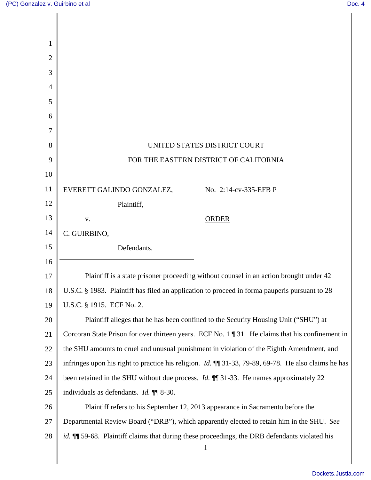|                                                                                                                                  | UNITED STATES DISTRICT COURT                                                                                  |
|----------------------------------------------------------------------------------------------------------------------------------|---------------------------------------------------------------------------------------------------------------|
| FOR THE EASTERN DISTRICT OF CALIFORNIA<br>9                                                                                      |                                                                                                               |
|                                                                                                                                  |                                                                                                               |
| EVERETT GALINDO GONZALEZ,                                                                                                        | No. 2:14-cv-335-EFB P                                                                                         |
| Plaintiff,                                                                                                                       |                                                                                                               |
| V.                                                                                                                               | <b>ORDER</b>                                                                                                  |
| C. GUIRBINO,                                                                                                                     |                                                                                                               |
| Defendants.                                                                                                                      |                                                                                                               |
|                                                                                                                                  |                                                                                                               |
| Plaintiff is a state prisoner proceeding without counsel in an action brought under 42                                           |                                                                                                               |
| U.S.C. § 1983. Plaintiff has filed an application to proceed in forma pauperis pursuant to 28<br>18                              |                                                                                                               |
| U.S.C. § 1915. ECF No. 2.                                                                                                        |                                                                                                               |
|                                                                                                                                  | Plaintiff alleges that he has been confined to the Security Housing Unit ("SHU") at                           |
| Corcoran State Prison for over thirteen years. ECF No. $1 \text{ } \text{\ensuremath{\$31}}$ . He claims that his confinement in |                                                                                                               |
|                                                                                                                                  | the SHU amounts to cruel and unusual punishment in violation of the Eighth Amendment, and                     |
|                                                                                                                                  | infringes upon his right to practice his religion. <i>Id.</i> $\P$ 31-33, 79-89, 69-78. He also claims he has |
| been retained in the SHU without due process. <i>Id.</i> <b>[1]</b> 31-33. He names approximately 22                             |                                                                                                               |
| individuals as defendants. <i>Id.</i> $\P\P$ 8-30.                                                                               |                                                                                                               |
|                                                                                                                                  | Plaintiff refers to his September 12, 2013 appearance in Sacramento before the                                |
| Departmental Review Board ("DRB"), which apparently elected to retain him in the SHU. See                                        |                                                                                                               |
|                                                                                                                                  | id. II 59-68. Plaintiff claims that during these proceedings, the DRB defendants violated his                 |
|                                                                                                                                  | $\mathbf{1}$                                                                                                  |
|                                                                                                                                  |                                                                                                               |